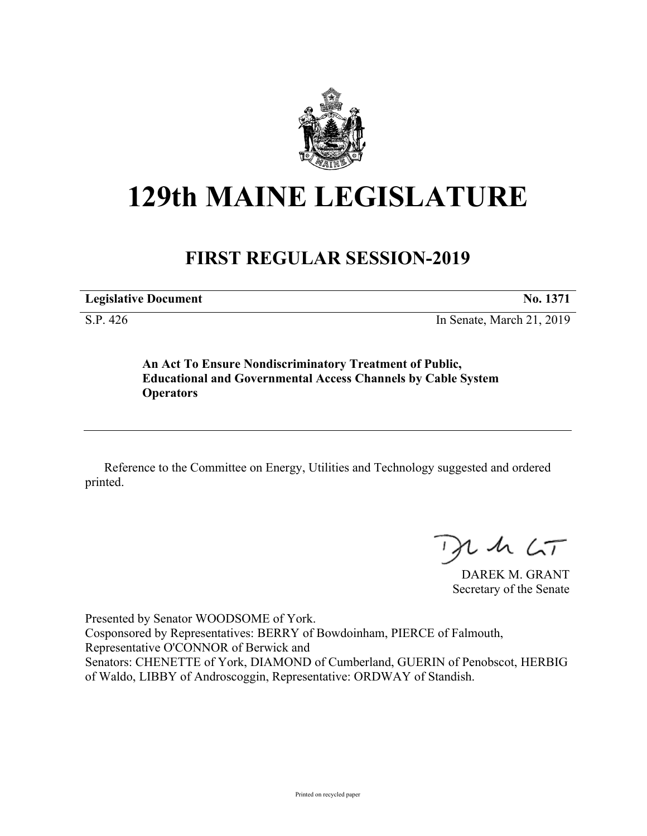

## **129th MAINE LEGISLATURE**

## **FIRST REGULAR SESSION-2019**

**Legislative Document No. 1371**

S.P. 426 In Senate, March 21, 2019

**An Act To Ensure Nondiscriminatory Treatment of Public, Educational and Governmental Access Channels by Cable System Operators**

Reference to the Committee on Energy, Utilities and Technology suggested and ordered printed.

 $U$  sh  $\zeta$ T

DAREK M. GRANT Secretary of the Senate

Presented by Senator WOODSOME of York. Cosponsored by Representatives: BERRY of Bowdoinham, PIERCE of Falmouth, Representative O'CONNOR of Berwick and Senators: CHENETTE of York, DIAMOND of Cumberland, GUERIN of Penobscot, HERBIG of Waldo, LIBBY of Androscoggin, Representative: ORDWAY of Standish.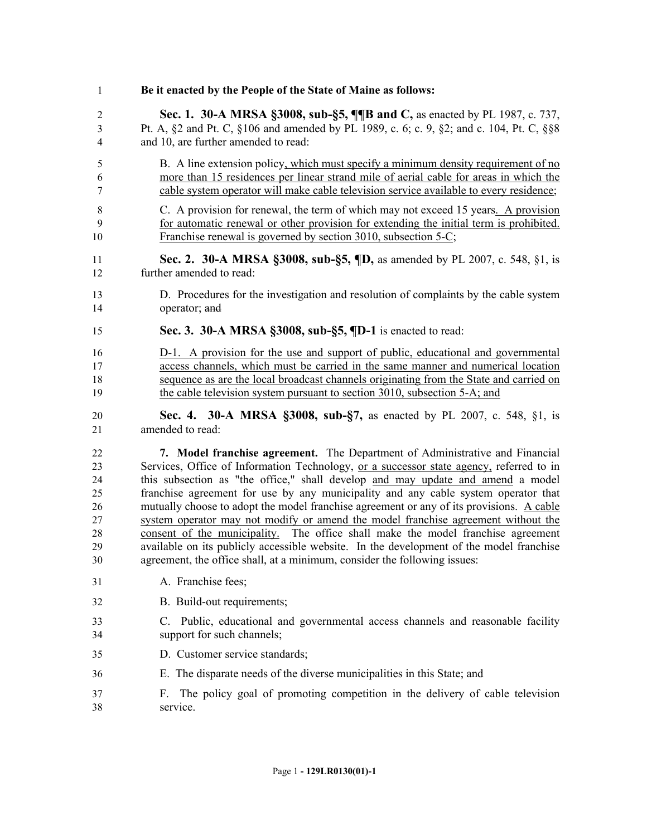| $\mathbf{1}$ | Be it enacted by the People of the State of Maine as follows:                            |
|--------------|------------------------------------------------------------------------------------------|
| $\sqrt{2}$   | Sec. 1. 30-A MRSA §3008, sub-§5, ¶[B and C, as enacted by PL 1987, c. 737,               |
| 3            | Pt. A, §2 and Pt. C, §106 and amended by PL 1989, c. 6; c. 9, §2; and c. 104, Pt. C, §§8 |
| 4            | and 10, are further amended to read:                                                     |
| 5            | B. A line extension policy, which must specify a minimum density requirement of no       |
| 6            | more than 15 residences per linear strand mile of aerial cable for areas in which the    |
| $\tau$       | cable system operator will make cable television service available to every residence;   |
| 8            | C. A provision for renewal, the term of which may not exceed 15 years. A provision       |
| 9            | for automatic renewal or other provision for extending the initial term is prohibited.   |
| 10           | Franchise renewal is governed by section 3010, subsection 5-C;                           |
| 11           | Sec. 2. 30-A MRSA §3008, sub-§5, ¶D, as amended by PL 2007, c. 548, §1, is               |
| 12           | further amended to read:                                                                 |
| 13           | D. Procedures for the investigation and resolution of complaints by the cable system     |
| 14           | operator; and                                                                            |
| 15           | Sec. 3. 30-A MRSA §3008, sub-§5, ¶D-1 is enacted to read:                                |
| 16           | D-1. A provision for the use and support of public, educational and governmental         |
| 17           | access channels, which must be carried in the same manner and numerical location         |
| 18           | sequence as are the local broadcast channels originating from the State and carried on   |
| 19           | the cable television system pursuant to section 3010, subsection 5-A; and                |
| 20           | <b>Sec. 4. 30-A MRSA §3008, sub-§7, as enacted by PL 2007, c. 548, §1, is</b>            |
| 21           | amended to read:                                                                         |
| 22           | 7. Model franchise agreement. The Department of Administrative and Financial             |
| 23           | Services, Office of Information Technology, or a successor state agency, referred to in  |
| 24           | this subsection as "the office," shall develop and may update and amend a model          |
| 25           | franchise agreement for use by any municipality and any cable system operator that       |
| 26           | mutually choose to adopt the model franchise agreement or any of its provisions. A cable |
| 27           | system operator may not modify or amend the model franchise agreement without the        |
| 28           | consent of the municipality. The office shall make the model franchise agreement         |
| 29           | available on its publicly accessible website. In the development of the model franchise  |
| 30           | agreement, the office shall, at a minimum, consider the following issues:                |
| 31           | A. Franchise fees;                                                                       |
| 32           | B. Build-out requirements;                                                               |
| 33           | C. Public, educational and governmental access channels and reasonable facility          |
| 34           | support for such channels;                                                               |
| 35           | D. Customer service standards;                                                           |
| 36           | E. The disparate needs of the diverse municipalities in this State; and                  |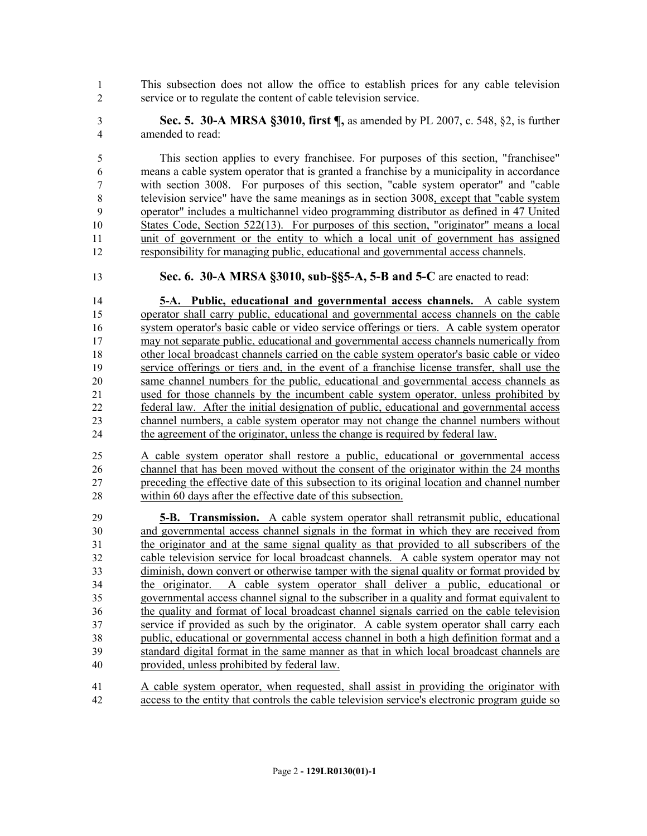This subsection does not allow the office to establish prices for any cable television service or to regulate the content of cable television service.

 **Sec. 5. 30-A MRSA §3010, first ¶,** as amended by PL 2007, c. 548, §2, is further amended to read:

 This section applies to every franchisee. For purposes of this section, "franchisee" means a cable system operator that is granted a franchise by a municipality in accordance with section 3008. For purposes of this section, "cable system operator" and "cable television service" have the same meanings as in section 3008, except that "cable system operator" includes a multichannel video programming distributor as defined in 47 United States Code, Section 522(13). For purposes of this section, "originator" means a local unit of government or the entity to which a local unit of government has assigned responsibility for managing public, educational and governmental access channels.

**Sec. 6. 30-A MRSA §3010, sub-§§5-A, 5-B and 5-C** are enacted to read:

 **5-A. Public, educational and governmental access channels.** A cable system operator shall carry public, educational and governmental access channels on the cable system operator's basic cable or video service offerings or tiers. A cable system operator may not separate public, educational and governmental access channels numerically from other local broadcast channels carried on the cable system operator's basic cable or video service offerings or tiers and, in the event of a franchise license transfer, shall use the same channel numbers for the public, educational and governmental access channels as used for those channels by the incumbent cable system operator, unless prohibited by federal law. After the initial designation of public, educational and governmental access channel numbers, a cable system operator may not change the channel numbers without the agreement of the originator, unless the change is required by federal law.

 A cable system operator shall restore a public, educational or governmental access 26 channel that has been moved without the consent of the originator within the 24 months preceding the effective date of this subsection to its original location and channel number within 60 days after the effective date of this subsection.

 **5-B. Transmission.** A cable system operator shall retransmit public, educational and governmental access channel signals in the format in which they are received from the originator and at the same signal quality as that provided to all subscribers of the cable television service for local broadcast channels. A cable system operator may not diminish, down convert or otherwise tamper with the signal quality or format provided by the originator. A cable system operator shall deliver a public, educational or governmental access channel signal to the subscriber in a quality and format equivalent to the quality and format of local broadcast channel signals carried on the cable television service if provided as such by the originator. A cable system operator shall carry each public, educational or governmental access channel in both a high definition format and a standard digital format in the same manner as that in which local broadcast channels are provided, unless prohibited by federal law.

 A cable system operator, when requested, shall assist in providing the originator with access to the entity that controls the cable television service's electronic program guide so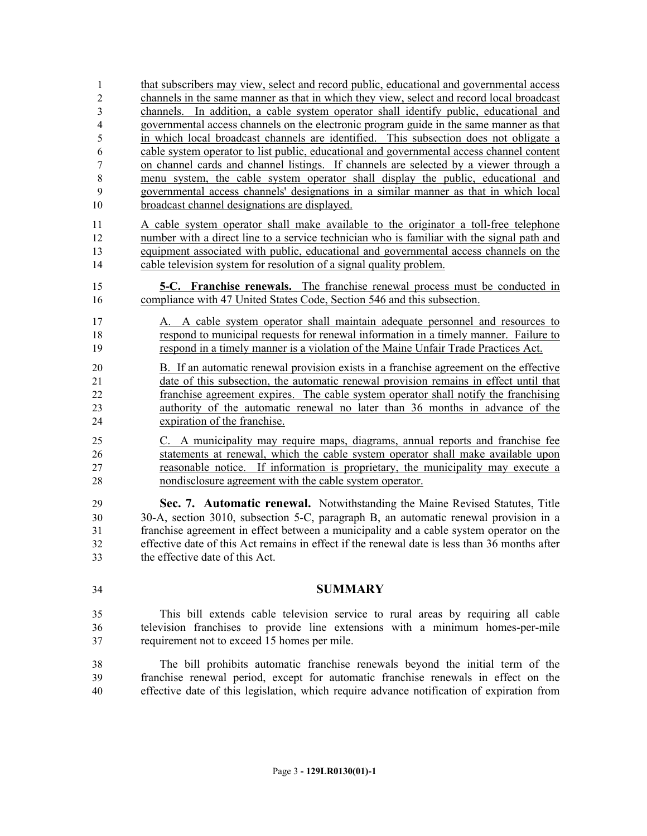that subscribers may view, select and record public, educational and governmental access channels in the same manner as that in which they view, select and record local broadcast channels. In addition, a cable system operator shall identify public, educational and governmental access channels on the electronic program guide in the same manner as that in which local broadcast channels are identified. This subsection does not obligate a cable system operator to list public, educational and governmental access channel content on channel cards and channel listings. If channels are selected by a viewer through a menu system, the cable system operator shall display the public, educational and governmental access channels' designations in a similar manner as that in which local broadcast channel designations are displayed.

 A cable system operator shall make available to the originator a toll-free telephone number with a direct line to a service technician who is familiar with the signal path and equipment associated with public, educational and governmental access channels on the cable television system for resolution of a signal quality problem.

- **5-C. Franchise renewals.** The franchise renewal process must be conducted in compliance with 47 United States Code, Section 546 and this subsection.
- A. A cable system operator shall maintain adequate personnel and resources to respond to municipal requests for renewal information in a timely manner. Failure to respond in a timely manner is a violation of the Maine Unfair Trade Practices Act.
- B. If an automatic renewal provision exists in a franchise agreement on the effective date of this subsection, the automatic renewal provision remains in effect until that franchise agreement expires. The cable system operator shall notify the franchising authority of the automatic renewal no later than 36 months in advance of the expiration of the franchise.
- C. A municipality may require maps, diagrams, annual reports and franchise fee statements at renewal, which the cable system operator shall make available upon reasonable notice. If information is proprietary, the municipality may execute a nondisclosure agreement with the cable system operator.

 **Sec. 7. Automatic renewal.** Notwithstanding the Maine Revised Statutes, Title 30-A, section 3010, subsection 5-C, paragraph B, an automatic renewal provision in a franchise agreement in effect between a municipality and a cable system operator on the effective date of this Act remains in effect if the renewal date is less than 36 months after the effective date of this Act.

**SUMMARY**

 This bill extends cable television service to rural areas by requiring all cable television franchises to provide line extensions with a minimum homes-per-mile requirement not to exceed 15 homes per mile.

 The bill prohibits automatic franchise renewals beyond the initial term of the franchise renewal period, except for automatic franchise renewals in effect on the effective date of this legislation, which require advance notification of expiration from